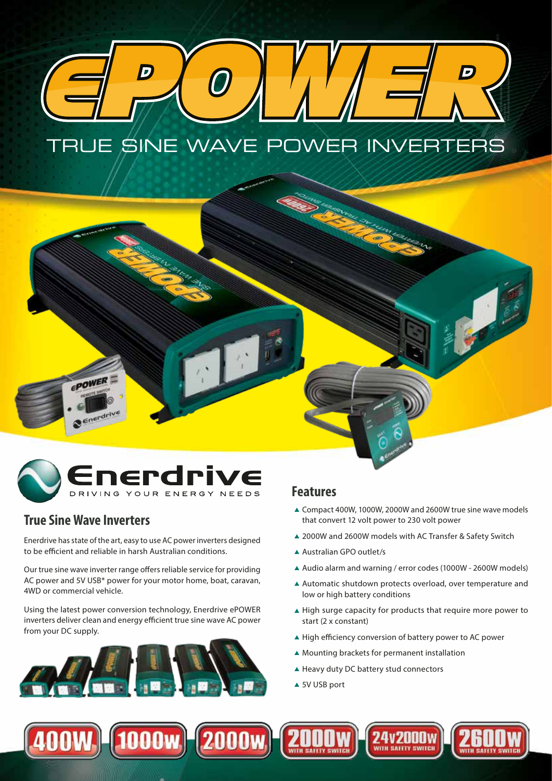

# nerdrive DRIVING YOUR ENERGY NEEDS

# **True Sine Wave Inverters**

EPOWER

Enerdriv

Enerdrive has state of the art, easy to use AC power inverters designed to be efficient and reliable in harsh Australian conditions.

Our true sine wave inverter range offers reliable service for providing AC power and 5V USB\* power for your motor home, boat, caravan, 4WD or commercial vehicle.

Using the latest power conversion technology, Enerdrive ePOWER inverters deliver clean and energy efficient true sine wave AC power from your DC supply.



# **Features**

▲ Compact 400W, 1000W, 2000W and 2600W true sine wave models that convert 12 volt power to 230 volt power

**CERTIFICATE** 

- ▲ 2000W and 2600W models with AC Transfer & Safety Switch
- ▲ Australian GPO outlet/s
- ▲ Audio alarm and warning / error codes (1000W 2600W models)
- ▲ Automatic shutdown protects overload, over temperature and low or high battery conditions
- ▲ High surge capacity for products that require more power to start (2 x constant)
- ▲ High efficiency conversion of battery power to AC power
- ▲ Mounting brackets for permanent installation
- ▲ Heavy duty DC battery stud connectors
- ▲ 5V USB port

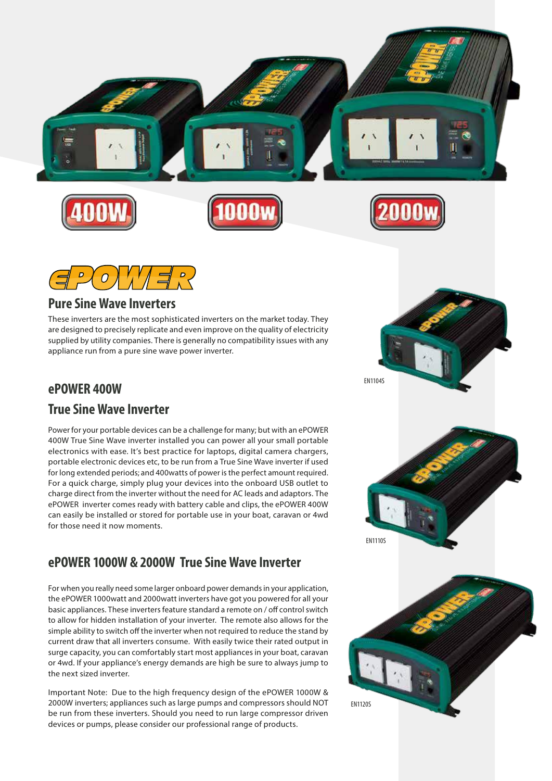



#### **Pure Sine Wave Inverters**

These inverters are the most sophisticated inverters on the market today. They are designed to precisely replicate and even improve on the quality of electricity supplied by utility companies. There is generally no compatibility issues with any appliance run from a pure sine wave power inverter.

# **ePOWER 400W**

#### **True Sine Wave Inverter**

Power for your portable devices can be a challenge for many; but with an ePOWER 400W True Sine Wave inverter installed you can power all your small portable electronics with ease. It's best practice for laptops, digital camera chargers, portable electronic devices etc, to be run from a True Sine Wave inverter if used for long extended periods; and 400watts of power is the perfect amount required. For a quick charge, simply plug your devices into the onboard USB outlet to charge direct from the inverter without the need for AC leads and adaptors. The ePOWER inverter comes ready with battery cable and clips, the ePOWER 400W can easily be installed or stored for portable use in your boat, caravan or 4wd for those need it now moments.

# **ePOWER 1000W & 2000W True Sine Wave Inverter**

For when you really need some larger onboard power demands in your application, the ePOWER 1000watt and 2000watt inverters have got you powered for all your basic appliances. These inverters feature standard a remote on / off control switch to allow for hidden installation of your inverter. The remote also allows for the simple ability to switch off the inverter when not required to reduce the stand by current draw that all inverters consume. With easily twice their rated output in surge capacity, you can comfortably start most appliances in your boat, caravan or 4wd. If your appliance's energy demands are high be sure to always jump to the next sized inverter.

Important Note: Due to the high frequency design of the ePOWER 1000W & 2000W inverters; appliances such as large pumps and compressors should NOT be run from these inverters. Should you need to run large compressor driven devices or pumps, please consider our professional range of products.





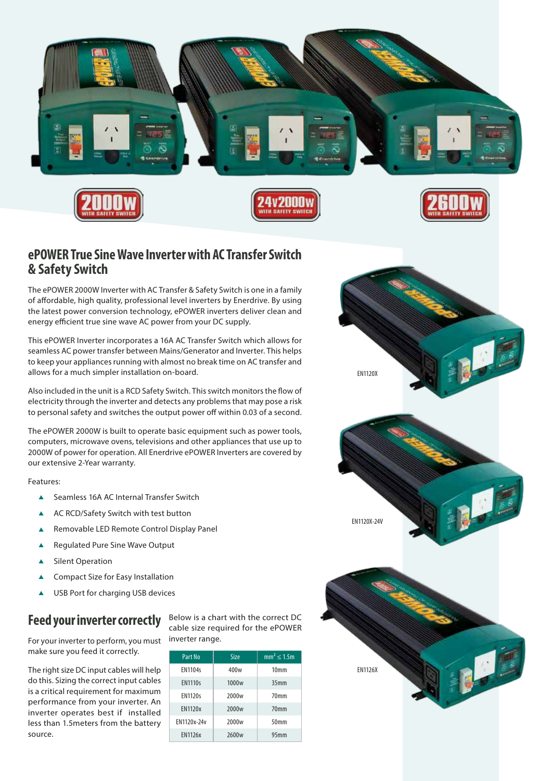

# **ePOWER True Sine Wave Inverter with AC Transfer Switch & Safety Switch**

The ePOWER 2000W Inverter with AC Transfer & Safety Switch is one in a family of affordable, high quality, professional level inverters by Enerdrive. By using the latest power conversion technology, ePOWER inverters deliver clean and energy efficient true sine wave AC power from your DC supply.

This ePOWER Inverter incorporates a 16A AC Transfer Switch which allows for seamless AC power transfer between Mains/Generator and Inverter. This helps to keep your appliances running with almost no break time on AC transfer and allows for a much simpler installation on-board.

Also included in the unit is a RCD Safety Switch. This switch monitors the flow of electricity through the inverter and detects any problems that may pose a risk to personal safety and switches the output power off within 0.03 of a second.

The ePOWER 2000W is built to operate basic equipment such as power tools, computers, microwave ovens, televisions and other appliances that use up to 2000W of power for operation. All Enerdrive ePOWER Inverters are covered by our extensive 2-Year warranty.

Features:

- ▲ Seamless 16A AC Internal Transfer Switch
- ▲ AC RCD/Safety Switch with test button
- ▲ Removable LED Remote Control Display Panel
- ▲ Regulated Pure Sine Wave Output
- ▲ Silent Operation
- ▲ Compact Size for Easy Installation
- ▲ USB Port for charging USB devices

# **Feed your inverter correctly**

For your inverter to perform, you must make sure you feed it correctly.

The right size DC input cables will help do this. Sizing the correct input cables is a critical requirement for maximum performance from your inverter. An inverter operates best if installed less than 1.5meters from the battery source.

Below is a chart with the correct DC cable size required for the ePOWER inverter range.

| Part No        | Size              | $mm^2$ < 1.5m    |
|----------------|-------------------|------------------|
| <b>EN1104s</b> | 400 <sub>w</sub>  | 10 <sub>mm</sub> |
| <b>EN1110s</b> | 1000 <sub>w</sub> | 35 <sub>mm</sub> |
| <b>EN1120s</b> | 2000 <sub>w</sub> | 70 <sub>mm</sub> |
| <b>EN1120x</b> | 2000 <sub>w</sub> | 70mm             |
| EN1120x-24v    | 2000 <sub>w</sub> | 50mm             |
| <b>EN1126x</b> | 2600 <sub>w</sub> | 95 <sub>mm</sub> |